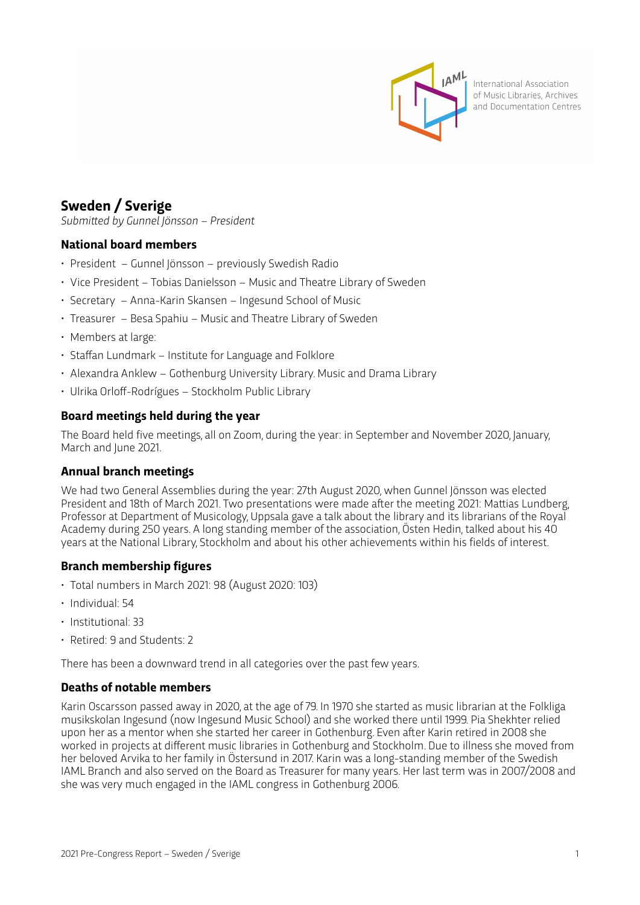

International Association of Music Libraries, Archives and Documentation Centres

# **Sweden / Sverige**

*Submitted by Gunnel Jönsson – President* 

## **National board members**

- President Gunnel Jönsson previously Swedish Radio
- Vice President Tobias Danielsson Music and Theatre Library of Sweden
- Secretary Anna-Karin Skansen Ingesund School of Music
- Treasurer Besa Spahiu Music and Theatre Library of Sweden
- Members at large:
- Staffan Lundmark Institute for Language and Folklore
- Alexandra Anklew Gothenburg University Library. Music and Drama Library
- Ulrika Orloff-Rodrígues Stockholm Public Library

## **Board meetings held during the year**

The Board held five meetings, all on Zoom, during the year: in September and November 2020, January, March and June 2021.

## **Annual branch meetings**

We had two General Assemblies during the year: 27th August 2020, when Gunnel Jönsson was elected President and 18th of March 2021. Two presentations were made after the meeting 2021: Mattias Lundberg, Professor at Department of Musicology, Uppsala gave a talk about the library and its librarians of the Royal Academy during 250 years. A long standing member of the association, Östen Hedin, talked about his 40 years at the National Library, Stockholm and about his other achievements within his fields of interest.

## **Branch membership figures**

- Total numbers in March 2021: 98 (August 2020: 103)
- Individual: 54
- Institutional: 33
- Retired: 9 and Students: 2

There has been a downward trend in all categories over the past few years.

## **Deaths of notable members**

Karin Oscarsson passed away in 2020, at the age of 79. In 1970 she started as music librarian at the Folkliga musikskolan Ingesund (now Ingesund Music School) and she worked there until 1999. Pia Shekhter relied upon her as a mentor when she started her career in Gothenburg. Even after Karin retired in 2008 she worked in projects at different music libraries in Gothenburg and Stockholm. Due to illness she moved from her beloved Arvika to her family in Östersund in 2017. Karin was a long-standing member of the Swedish IAML Branch and also served on the Board as Treasurer for many years. Her last term was in 2007/2008 and she was very much engaged in the IAML congress in Gothenburg 2006.